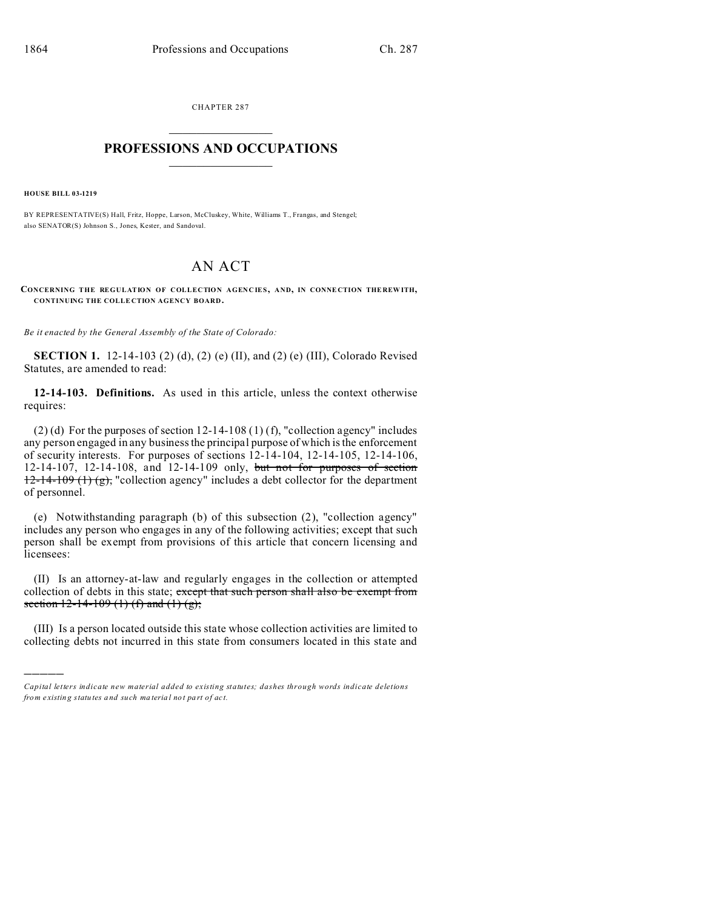CHAPTER 287  $\overline{\phantom{a}}$  , where  $\overline{\phantom{a}}$ 

## **PROFESSIONS AND OCCUPATIONS**  $\frac{1}{2}$  ,  $\frac{1}{2}$  ,  $\frac{1}{2}$  ,  $\frac{1}{2}$  ,  $\frac{1}{2}$  ,  $\frac{1}{2}$

**HOUSE BILL 03-1219**

)))))

BY REPRESENTATIVE(S) Hall, Fritz, Hoppe, Larson, McCluskey, White, Williams T., Frangas, and Stengel; also SENATOR(S) Johnson S., Jones, Kester, and Sandoval.

## AN ACT

 $C$ **ONCERNING THE REGULATION OF COLLECTION AGENCIES, AND, IN CONNECTION THEREWITH, CONTINUING THE COLLE CTION AGENCY BOARD .**

*Be it enacted by the General Assembly of the State of Colorado:*

**SECTION 1.** 12-14-103 (2) (d), (2) (e) (II), and (2) (e) (III), Colorado Revised Statutes, are amended to read:

**12-14-103. Definitions.** As used in this article, unless the context otherwise requires:

(2) (d) For the purposes of section 12-14-108 (1) (f), "collection agency" includes any person engaged in any business the principal purpose of which is the enforcement of security interests. For purposes of sections 12-14-104, 12-14-105, 12-14-106, 12-14-107, 12-14-108, and 12-14-109 only, but not for purposes of section  $12-14-109$  (1) (g), "collection agency" includes a debt collector for the department of personnel.

(e) Notwithstanding paragraph (b) of this subsection (2), "collection agency" includes any person who engages in any of the following activities; except that such person shall be exempt from provisions of this article that concern licensing and licensees:

(II) Is an attorney-at-law and regularly engages in the collection or attempted collection of debts in this state; except that such person shall also be exempt from section  $12-14-109$  (1) (f) and (1) (g);

(III) Is a person located outside this state whose collection activities are limited to collecting debts not incurred in this state from consumers located in this state and

*Capital letters indicate new material added to existing statutes; dashes through words indicate deletions from e xistin g statu tes a nd such ma teria l no t pa rt of ac t.*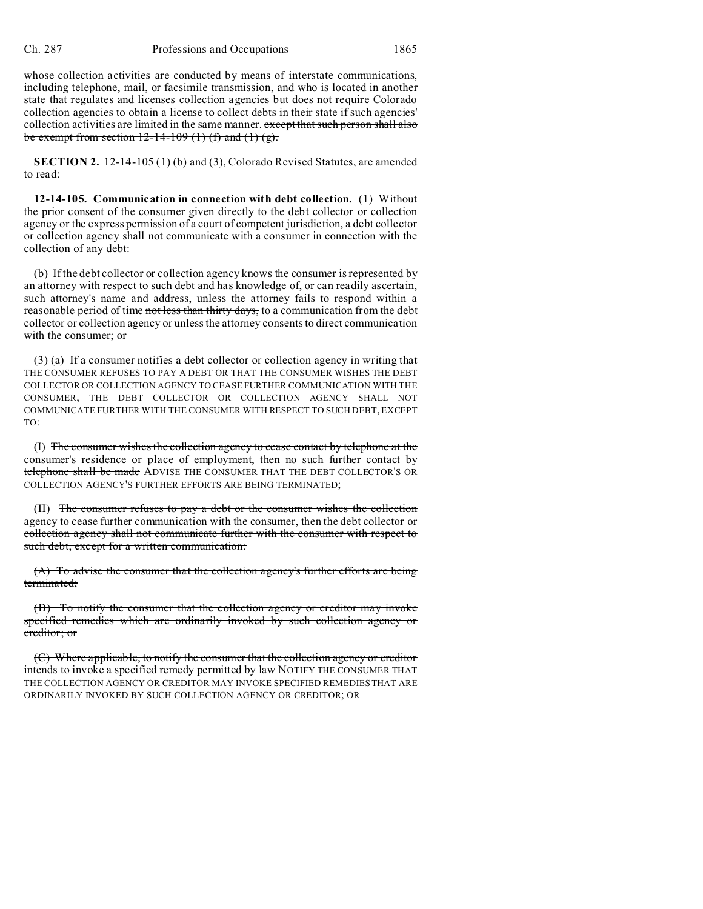whose collection activities are conducted by means of interstate communications, including telephone, mail, or facsimile transmission, and who is located in another state that regulates and licenses collection agencies but does not require Colorado collection agencies to obtain a license to collect debts in their state if such agencies' collection activities are limited in the same manner. except that such person shall also be exempt from section  $12-14-109$  (1) (f) and (1) (g).

**SECTION 2.** 12-14-105 (1) (b) and (3), Colorado Revised Statutes, are amended to read:

**12-14-105. Communication in connection with debt collection.** (1) Without the prior consent of the consumer given directly to the debt collector or collection agency or the express permission of a court of competent jurisdiction, a debt collector or collection agency shall not communicate with a consumer in connection with the collection of any debt:

(b) If the debt collector or collection agency knows the consumer is represented by an attorney with respect to such debt and has knowledge of, or can readily ascertain, such attorney's name and address, unless the attorney fails to respond within a reasonable period of time not less than thirty days, to a communication from the debt collector or collection agency or unless the attorney consents to direct communication with the consumer; or

(3) (a) If a consumer notifies a debt collector or collection agency in writing that THE CONSUMER REFUSES TO PAY A DEBT OR THAT THE CONSUMER WISHES THE DEBT COLLECTOR OR COLLECTION AGENCY TO CEASE FURTHER COMMUNICATION WITH THE CONSUMER, THE DEBT COLLECTOR OR COLLECTION AGENCY SHALL NOT COMMUNICATE FURTHER WITH THE CONSUMER WITH RESPECT TO SUCH DEBT, EXCEPT TO:

(I) The consumer wishes the collection agency to cease contact by telephone at the consumer's residence or place of employment, then no such further contact by telephone shall be made ADVISE THE CONSUMER THAT THE DEBT COLLECTOR'S OR COLLECTION AGENCY'S FURTHER EFFORTS ARE BEING TERMINATED;

(II) The consumer refuses to pay a debt or the consumer wishes the collection agency to cease further communication with the consumer, then the debt collector or collection agency shall not communicate further with the consumer with respect to such debt, except for a written communication:

(A) To advise the consumer that the collection agency's further efforts are being terminated;

(B) To notify the consumer that the collection agency or creditor may invoke specified remedies which are ordinarily invoked by such collection agency or creditor; or

 $(C)$  Where applicable, to notify the consumer that the collection agency or creditor intends to invoke a specified remedy permitted by law NOTIFY THE CONSUMER THAT THE COLLECTION AGENCY OR CREDITOR MAY INVOKE SPECIFIED REMEDIES THAT ARE ORDINARILY INVOKED BY SUCH COLLECTION AGENCY OR CREDITOR; OR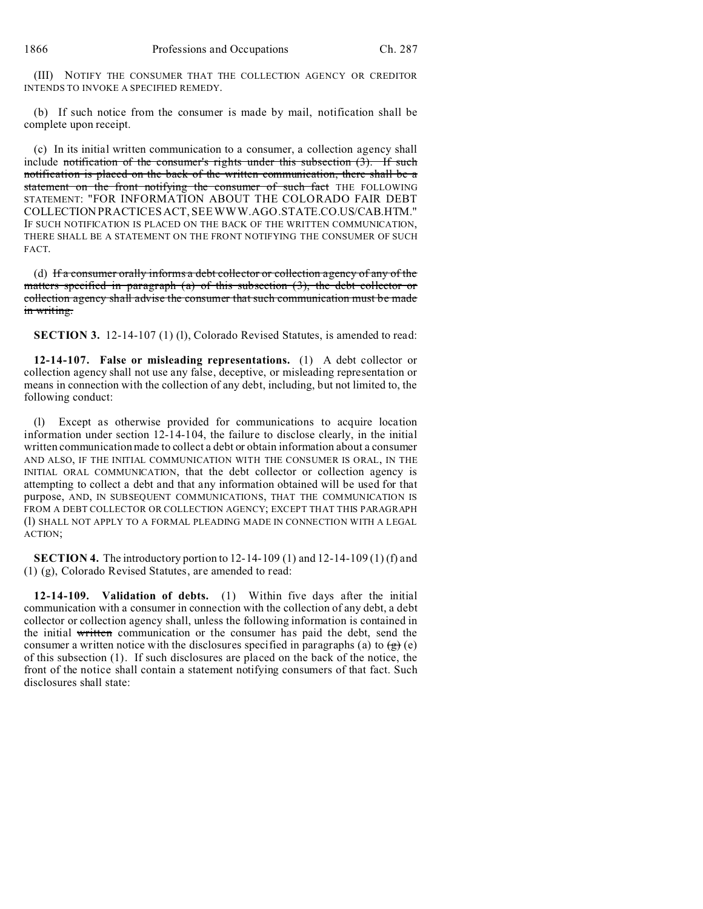(III) NOTIFY THE CONSUMER THAT THE COLLECTION AGENCY OR CREDITOR INTENDS TO INVOKE A SPECIFIED REMEDY.

(b) If such notice from the consumer is made by mail, notification shall be complete upon receipt.

(c) In its initial written communication to a consumer, a collection agency shall include notification of the consumer's rights under this subsection (3). If such notification is placed on the back of the written communication, there shall be a statement on the front notifying the consumer of such fact THE FOLLOWING STATEMENT: "FOR INFORMATION ABOUT THE COLORADO FAIR DEBT COLLECTION PRACTICESACT, SEEWWW.AGO.STATE.CO.US/CAB.HTM." IF SUCH NOTIFICATION IS PLACED ON THE BACK OF THE WRITTEN COMMUNICATION, THERE SHALL BE A STATEMENT ON THE FRONT NOTIFYING THE CONSUMER OF SUCH FACT.

(d) If a consumer orally informs a debt collector or collection agency of any of the matters specified in paragraph (a) of this subsection (3), the debt collector or collection agency shall advise the consumer that such communication must be made in writing.

**SECTION 3.** 12-14-107 (1) (1), Colorado Revised Statutes, is amended to read:

**12-14-107. False or misleading representations.** (1) A debt collector or collection agency shall not use any false, deceptive, or misleading representation or means in connection with the collection of any debt, including, but not limited to, the following conduct:

(l) Except as otherwise provided for communications to acquire location information under section 12-14-104, the failure to disclose clearly, in the initial written communication made to collect a debt or obtain information about a consumer AND ALSO, IF THE INITIAL COMMUNICATION WITH THE CONSUMER IS ORAL, IN THE INITIAL ORAL COMMUNICATION, that the debt collector or collection agency is attempting to collect a debt and that any information obtained will be used for that purpose, AND, IN SUBSEQUENT COMMUNICATIONS, THAT THE COMMUNICATION IS FROM A DEBT COLLECTOR OR COLLECTION AGENCY; EXCEPT THAT THIS PARAGRAPH (l) SHALL NOT APPLY TO A FORMAL PLEADING MADE IN CONNECTION WITH A LEGAL ACTION;

**SECTION 4.** The introductory portion to 12-14-109 (1) and 12-14-109 (1) (f) and (1) (g), Colorado Revised Statutes, are amended to read:

**12-14-109. Validation of debts.** (1) Within five days after the initial communication with a consumer in connection with the collection of any debt, a debt collector or collection agency shall, unless the following information is contained in the initial written communication or the consumer has paid the debt, send the consumer a written notice with the disclosures specified in paragraphs (a) to  $\left(\frac{1}{g}\right)$  (e) of this subsection (1). If such disclosures are placed on the back of the notice, the front of the notice shall contain a statement notifying consumers of that fact. Such disclosures shall state: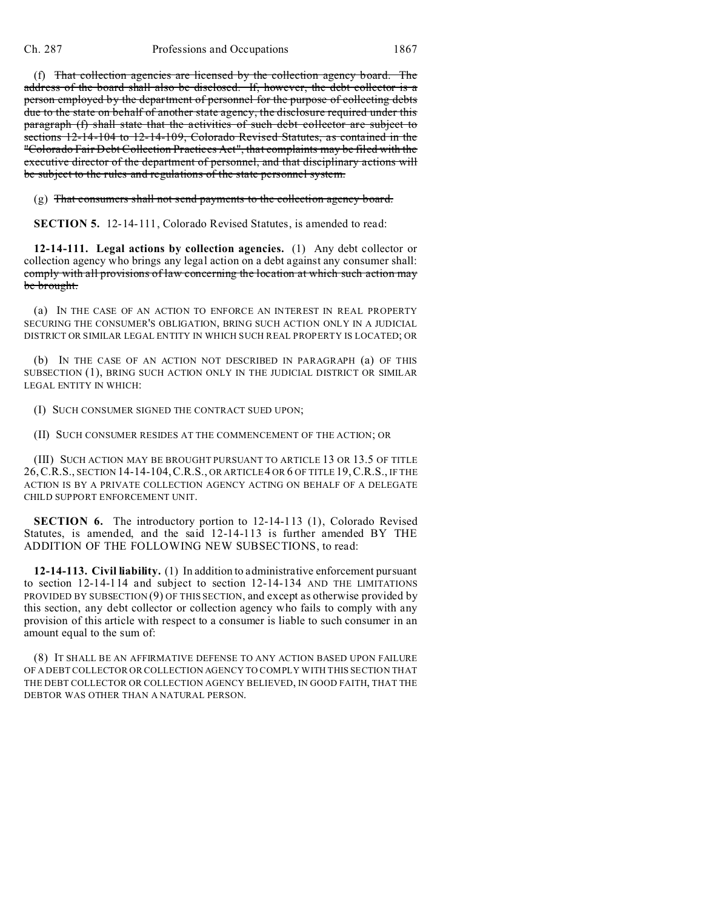(f) That collection agencies are licensed by the collection agency board. The address of the board shall also be disclosed. If, however, the debt collector is a person employed by the department of personnel for the purpose of collecting debts due to the state on behalf of another state agency, the disclosure required under this paragraph (f) shall state that the activities of such debt collector are subject to sections 12-14-104 to 12-14-109, Colorado Revised Statutes, as contained in the "Colorado Fair Debt Collection Practices Act", that complaints may be filed with the executive director of the department of personnel, and that disciplinary actions will be subject to the rules and regulations of the state personnel system.

(g) That consumers shall not send payments to the collection agency board.

**SECTION 5.** 12-14-111, Colorado Revised Statutes, is amended to read:

**12-14-111. Legal actions by collection agencies.** (1) Any debt collector or collection agency who brings any legal action on a debt against any consumer shall: comply with all provisions of law concerning the location at which such action may be brought.

(a) IN THE CASE OF AN ACTION TO ENFORCE AN INTEREST IN REAL PROPERTY SECURING THE CONSUMER'S OBLIGATION, BRING SUCH ACTION ONLY IN A JUDICIAL DISTRICT OR SIMILAR LEGAL ENTITY IN WHICH SUCH REAL PROPERTY IS LOCATED; OR

(b) IN THE CASE OF AN ACTION NOT DESCRIBED IN PARAGRAPH (a) OF THIS SUBSECTION (1), BRING SUCH ACTION ONLY IN THE JUDICIAL DISTRICT OR SIMILAR LEGAL ENTITY IN WHICH:

(I) SUCH CONSUMER SIGNED THE CONTRACT SUED UPON;

(II) SUCH CONSUMER RESIDES AT THE COMMENCEMENT OF THE ACTION; OR

(III) SUCH ACTION MAY BE BROUGHT PURSUANT TO ARTICLE 13 OR 13.5 OF TITLE 26,C.R.S., SECTION 14-14-104,C.R.S., OR ARTICLE 4 OR 6 OF TITLE 19,C.R.S., IF THE ACTION IS BY A PRIVATE COLLECTION AGENCY ACTING ON BEHALF OF A DELEGATE CHILD SUPPORT ENFORCEMENT UNIT.

**SECTION 6.** The introductory portion to 12-14-113 (1), Colorado Revised Statutes, is amended, and the said 12-14-113 is further amended BY THE ADDITION OF THE FOLLOWING NEW SUBSECTIONS, to read:

**12-14-113. Civil liability.** (1) In addition to administrative enforcement pursuant to section 12-14-114 and subject to section 12-14-134 AND THE LIMITATIONS PROVIDED BY SUBSECTION (9) OF THIS SECTION, and except as otherwise provided by this section, any debt collector or collection agency who fails to comply with any provision of this article with respect to a consumer is liable to such consumer in an amount equal to the sum of:

(8) IT SHALL BE AN AFFIRMATIVE DEFENSE TO ANY ACTION BASED UPON FAILURE OF A DEBT COLLECTOR OR COLLECTION AGENCY TO COMPLY WITH THIS SECTION THAT THE DEBT COLLECTOR OR COLLECTION AGENCY BELIEVED, IN GOOD FAITH, THAT THE DEBTOR WAS OTHER THAN A NATURAL PERSON.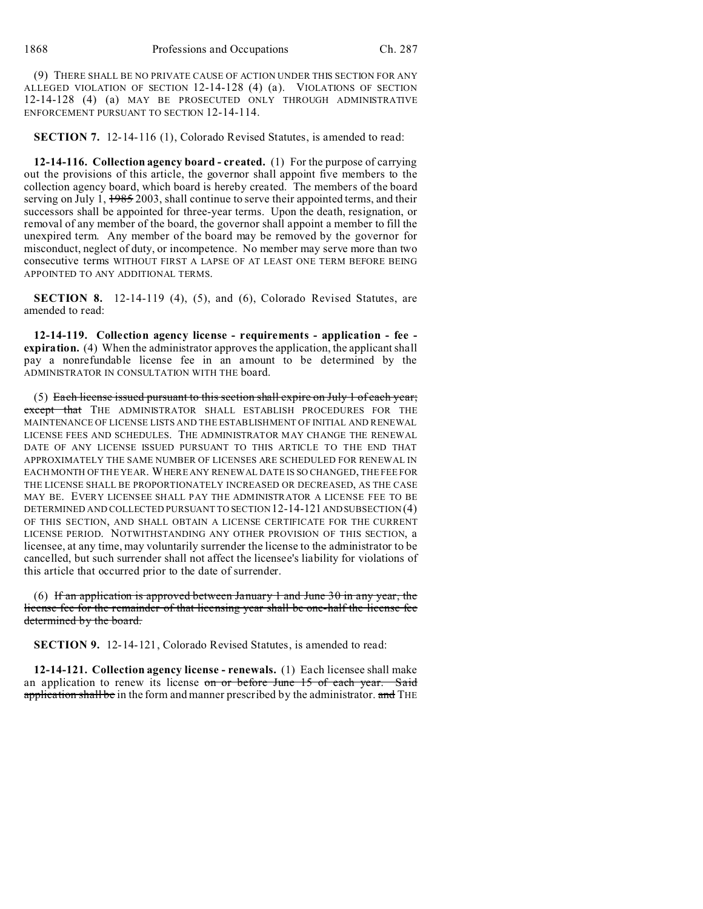(9) THERE SHALL BE NO PRIVATE CAUSE OF ACTION UNDER THIS SECTION FOR ANY ALLEGED VIOLATION OF SECTION 12-14-128 (4) (a). VIOLATIONS OF SECTION 12-14-128 (4) (a) MAY BE PROSECUTED ONLY THROUGH ADMINISTRATIVE ENFORCEMENT PURSUANT TO SECTION 12-14-114.

**SECTION 7.** 12-14-116 (1), Colorado Revised Statutes, is amended to read:

**12-14-116. Collection agency board - created.** (1) For the purpose of carrying out the provisions of this article, the governor shall appoint five members to the collection agency board, which board is hereby created. The members of the board serving on July 1, 1985 2003, shall continue to serve their appointed terms, and their successors shall be appointed for three-year terms. Upon the death, resignation, or removal of any member of the board, the governor shall appoint a member to fill the unexpired term. Any member of the board may be removed by the governor for misconduct, neglect of duty, or incompetence. No member may serve more than two consecutive terms WITHOUT FIRST A LAPSE OF AT LEAST ONE TERM BEFORE BEING APPOINTED TO ANY ADDITIONAL TERMS.

**SECTION 8.** 12-14-119 (4), (5), and (6), Colorado Revised Statutes, are amended to read:

**12-14-119. Collection agency license - requirements - application - fee expiration.** (4) When the administrator approves the application, the applicant shall pay a nonrefundable license fee in an amount to be determined by the ADMINISTRATOR IN CONSULTATION WITH THE board.

(5) Each license issued pursuant to this section shall expire on July 1 of each year; except that THE ADMINISTRATOR SHALL ESTABLISH PROCEDURES FOR THE MAINTENANCE OF LICENSE LISTS AND THE ESTABLISHMENT OF INITIAL AND RENEWAL LICENSE FEES AND SCHEDULES. THE ADMINISTRATOR MAY CHANGE THE RENEWAL DATE OF ANY LICENSE ISSUED PURSUANT TO THIS ARTICLE TO THE END THAT APPROXIMATELY THE SAME NUMBER OF LICENSES ARE SCHEDULED FOR RENEWAL IN EACH MONTH OF THE YEAR. WHERE ANY RENEWAL DATE IS SO CHANGED, THE FEE FOR THE LICENSE SHALL BE PROPORTIONATELY INCREASED OR DECREASED, AS THE CASE MAY BE. EVERY LICENSEE SHALL PAY THE ADMINISTRATOR A LICENSE FEE TO BE DETERMINED AND COLLECTED PURSUANT TO SECTION 12-14-121 ANDSUBSECTION (4) OF THIS SECTION, AND SHALL OBTAIN A LICENSE CERTIFICATE FOR THE CURRENT LICENSE PERIOD. NOTWITHSTANDING ANY OTHER PROVISION OF THIS SECTION, a licensee, at any time, may voluntarily surrender the license to the administrator to be cancelled, but such surrender shall not affect the licensee's liability for violations of this article that occurred prior to the date of surrender.

(6) If an application is approved between January 1 and June 30 in any year, the license fee for the remainder of that licensing year shall be one-half the license fee determined by the board.

**SECTION 9.** 12-14-121, Colorado Revised Statutes, is amended to read:

**12-14-121. Collection agency license - renewals.** (1) Each licensee shall make an application to renew its license on or before June 15 of each year. Said application shall be in the form and manner prescribed by the administrator. and THE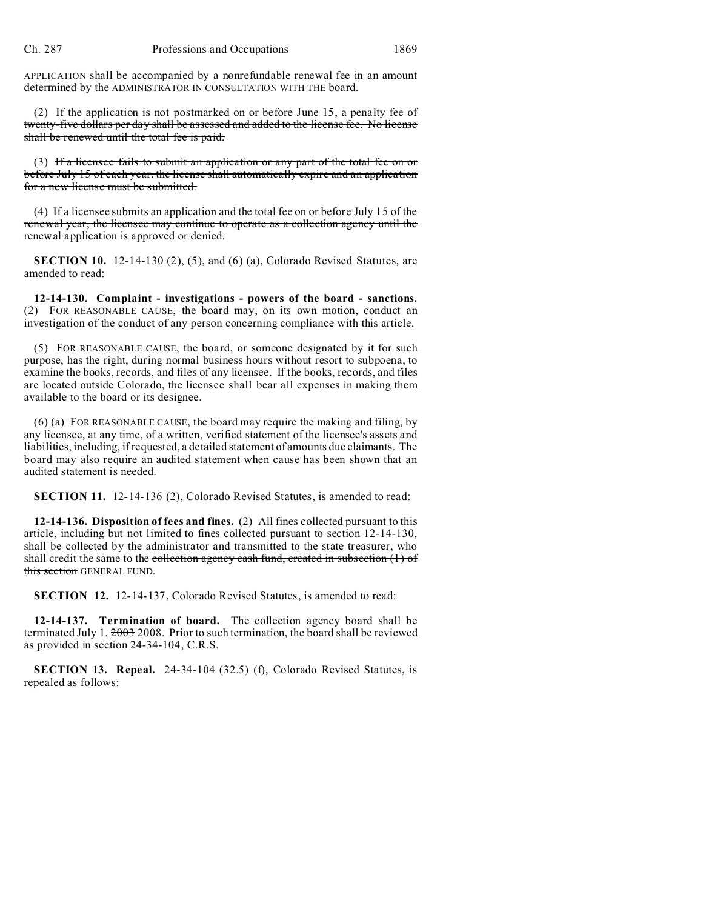APPLICATION shall be accompanied by a nonrefundable renewal fee in an amount determined by the ADMINISTRATOR IN CONSULTATION WITH THE board.

(2) If the application is not postmarked on or before June 15, a penalty fee of twenty-five dollars per day shall be assessed and added to the license fee. No license shall be renewed until the total fee is paid.

(3) If a licensee fails to submit an application or any part of the total fee on or before July 15 of each year, the license shall automatically expire and an application for a new license must be submitted.

(4) If a licensee submits an application and the total fee on or before July 15 of the renewal year, the licensee may continue to operate as a collection agency until the renewal application is approved or denied.

**SECTION 10.** 12-14-130 (2), (5), and (6) (a), Colorado Revised Statutes, are amended to read:

**12-14-130. Complaint - investigations - powers of the board - sanctions.** (2) FOR REASONABLE CAUSE, the board may, on its own motion, conduct an investigation of the conduct of any person concerning compliance with this article.

(5) FOR REASONABLE CAUSE, the board, or someone designated by it for such purpose, has the right, during normal business hours without resort to subpoena, to examine the books, records, and files of any licensee. If the books, records, and files are located outside Colorado, the licensee shall bear all expenses in making them available to the board or its designee.

(6) (a) FOR REASONABLE CAUSE, the board may require the making and filing, by any licensee, at any time, of a written, verified statement of the licensee's assets and liabilities, including, if requested, a detailed statement of amounts due claimants. The board may also require an audited statement when cause has been shown that an audited statement is needed.

**SECTION 11.** 12-14-136 (2), Colorado Revised Statutes, is amended to read:

**12-14-136. Disposition of fees and fines.** (2) All fines collected pursuant to this article, including but not limited to fines collected pursuant to section 12-14-130, shall be collected by the administrator and transmitted to the state treasurer, who shall credit the same to the collection agency cash fund, created in subsection  $(1)$  of this section GENERAL FUND.

**SECTION 12.** 12-14-137, Colorado Revised Statutes, is amended to read:

**12-14-137. Termination of board.** The collection agency board shall be terminated July 1, 2003 2008. Prior to such termination, the board shall be reviewed as provided in section 24-34-104, C.R.S.

**SECTION 13. Repeal.** 24-34-104 (32.5) (f), Colorado Revised Statutes, is repealed as follows: